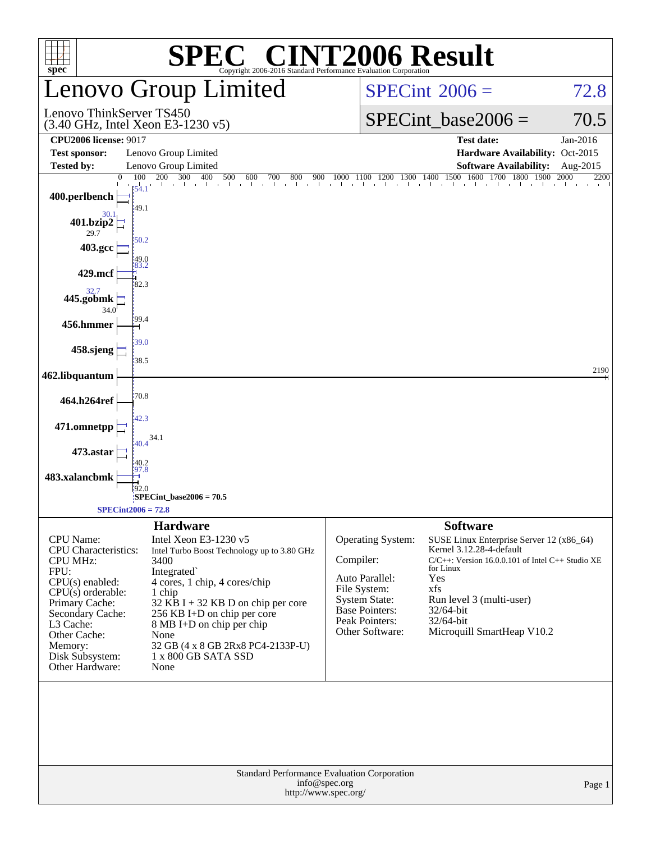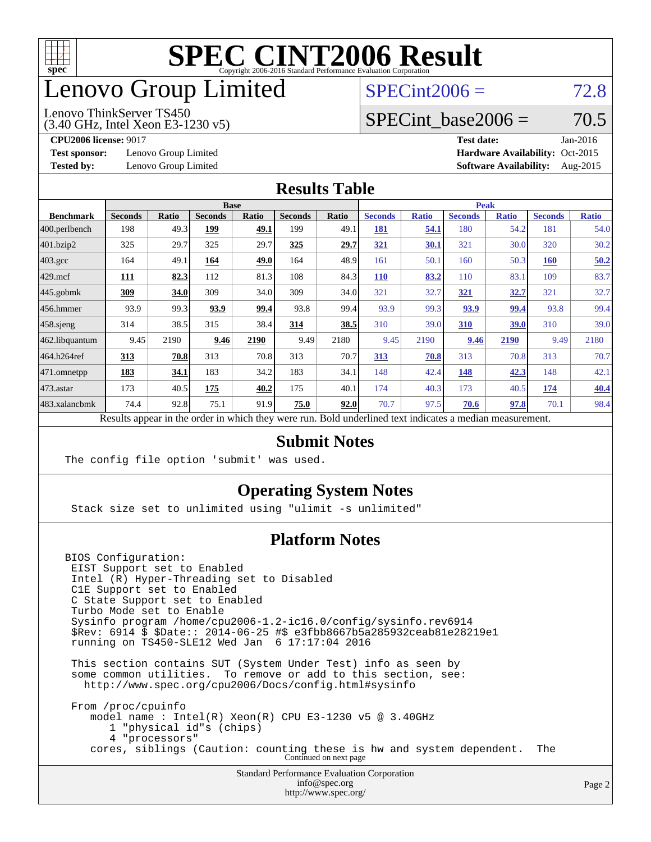

## enovo Group Limited

### $SPECint2006 = 72.8$  $SPECint2006 = 72.8$

#### Lenovo ThinkServer TS450

(3.40 GHz, Intel Xeon E3-1230 v5)

SPECint base2006 =  $70.5$ 

**[Test sponsor:](http://www.spec.org/auto/cpu2006/Docs/result-fields.html#Testsponsor)** Lenovo Group Limited **[Hardware Availability:](http://www.spec.org/auto/cpu2006/Docs/result-fields.html#HardwareAvailability)** Oct-2015

**[CPU2006 license:](http://www.spec.org/auto/cpu2006/Docs/result-fields.html#CPU2006license)** 9017 **[Test date:](http://www.spec.org/auto/cpu2006/Docs/result-fields.html#Testdate)** Jan-2016 **[Tested by:](http://www.spec.org/auto/cpu2006/Docs/result-fields.html#Testedby)** Lenovo Group Limited **[Software Availability:](http://www.spec.org/auto/cpu2006/Docs/result-fields.html#SoftwareAvailability)** Aug-2015

#### **[Results Table](http://www.spec.org/auto/cpu2006/Docs/result-fields.html#ResultsTable)**

|                                                                                                          |                |              | <b>Base</b>    |              |                |       | <b>Peak</b>    |              |                |              |                |              |
|----------------------------------------------------------------------------------------------------------|----------------|--------------|----------------|--------------|----------------|-------|----------------|--------------|----------------|--------------|----------------|--------------|
| <b>Benchmark</b>                                                                                         | <b>Seconds</b> | <b>Ratio</b> | <b>Seconds</b> | <b>Ratio</b> | <b>Seconds</b> | Ratio | <b>Seconds</b> | <b>Ratio</b> | <b>Seconds</b> | <b>Ratio</b> | <b>Seconds</b> | <b>Ratio</b> |
| 400.perlbench                                                                                            | 198            | 49.3         | 199            | 49.1         | 199            | 49.1  | 181            | 54.1         | 180            | 54.2         | 181            | 54.0         |
| 401.bzip2                                                                                                | 325            | 29.7         | 325            | 29.7         | 325            | 29.7  | 321            | 30.1         | 321            | 30.0         | 320            | 30.2         |
| $403.\mathrm{gcc}$                                                                                       | 164            | 49.1         | 164            | 49.0         | 164            | 48.9  | 161            | 50.1         | 160            | 50.3         | <b>160</b>     | 50.2         |
| $429$ mcf                                                                                                | 111            | 82.3         | 112            | 81.3         | 108            | 84.3  | 110            | 83.2         | 110            | 83.1         | 109            | 83.7         |
| $445$ .gobmk                                                                                             | <u>309</u>     | 34.0         | 309            | 34.0         | 309            | 34.0  | 321            | 32.7         | 321            | 32.7         | 321            | 32.7         |
| $456.$ hmmer                                                                                             | 93.9           | 99.3         | 93.9           | 99.4         | 93.8           | 99.4  | 93.9           | 99.3         | 93.9           | 99.4         | 93.8           | 99.4         |
| $458$ .sjeng                                                                                             | 314            | 38.5         | 315            | 38.4         | 314            | 38.5  | 310            | 39.0         | 310            | 39.0         | 310            | 39.0         |
| 462.libquantum                                                                                           | 9.45           | 2190         | 9.46           | 2190         | 9.49           | 2180  | 9.45           | 2190         | 9.46           | 2190         | 9.49           | 2180         |
| 464.h264ref                                                                                              | 313            | 70.8         | 313            | 70.8         | 313            | 70.7  | 313            | 70.8         | 313            | 70.8         | 313            | 70.7         |
| $ 471$ .omnetpp                                                                                          | 183            | 34.1         | 183            | 34.2         | 183            | 34.1  | 148            | 42.4         | 148            | 42.3         | 148            | 42.1         |
| $473$ . astar                                                                                            | 173            | 40.5         | 175            | 40.2         | 175            | 40.1  | 174            | 40.3         | 173            | 40.5         | 174            | 40.4         |
| 483.xalancbmk                                                                                            | 74.4           | 92.8         | 75.1           | 91.9         | 75.0           | 92.0  | 70.7           | 97.5         | 70.6           | 97.8         | 70.1           | 98.4         |
| Results appear in the order in which they were run. Bold underlined text indicates a median measurement. |                |              |                |              |                |       |                |              |                |              |                |              |

### **[Submit Notes](http://www.spec.org/auto/cpu2006/Docs/result-fields.html#SubmitNotes)**

The config file option 'submit' was used.

### **[Operating System Notes](http://www.spec.org/auto/cpu2006/Docs/result-fields.html#OperatingSystemNotes)**

Stack size set to unlimited using "ulimit -s unlimited"

### **[Platform Notes](http://www.spec.org/auto/cpu2006/Docs/result-fields.html#PlatformNotes)**

BIOS Configuration: EIST Support set to Enabled Intel (R) Hyper-Threading set to Disabled C1E Support set to Enabled C State Support set to Enabled Turbo Mode set to Enable Sysinfo program /home/cpu2006-1.2-ic16.0/config/sysinfo.rev6914 \$Rev: 6914 \$ \$Date:: 2014-06-25 #\$ e3fbb8667b5a285932ceab81e28219e1 running on TS450-SLE12 Wed Jan 6 17:17:04 2016

 This section contains SUT (System Under Test) info as seen by some common utilities. To remove or add to this section, see: <http://www.spec.org/cpu2006/Docs/config.html#sysinfo>

 From /proc/cpuinfo model name : Intel(R) Xeon(R) CPU E3-1230 v5 @ 3.40GHz 1 "physical id"s (chips) 4 "processors" cores, siblings (Caution: counting these is hw and system dependent. The Continued on next page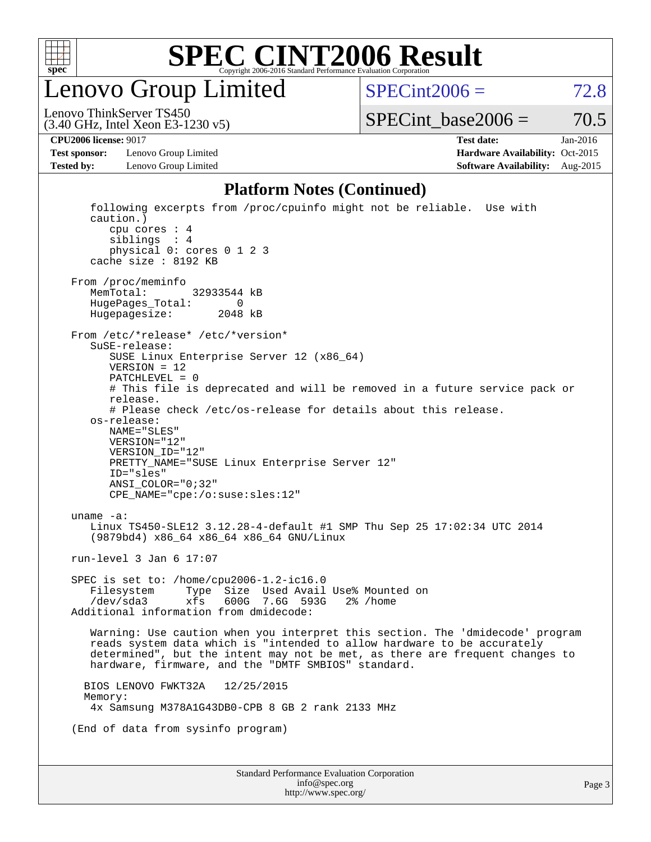

enovo Group Limited

 $SPECint2006 = 72.8$  $SPECint2006 = 72.8$ 

(3.40 GHz, Intel Xeon E3-1230 v5) Lenovo ThinkServer TS450

 $SPECTnt\_base2006 = 70.5$ 

**[Test sponsor:](http://www.spec.org/auto/cpu2006/Docs/result-fields.html#Testsponsor)** Lenovo Group Limited **[Hardware Availability:](http://www.spec.org/auto/cpu2006/Docs/result-fields.html#HardwareAvailability)** Oct-2015

**[CPU2006 license:](http://www.spec.org/auto/cpu2006/Docs/result-fields.html#CPU2006license)** 9017 **[Test date:](http://www.spec.org/auto/cpu2006/Docs/result-fields.html#Testdate)** Jan-2016 **[Tested by:](http://www.spec.org/auto/cpu2006/Docs/result-fields.html#Testedby)** Lenovo Group Limited **[Software Availability:](http://www.spec.org/auto/cpu2006/Docs/result-fields.html#SoftwareAvailability)** Aug-2015

#### **[Platform Notes \(Continued\)](http://www.spec.org/auto/cpu2006/Docs/result-fields.html#PlatformNotes)**

Standard Performance Evaluation Corporation [info@spec.org](mailto:info@spec.org) following excerpts from /proc/cpuinfo might not be reliable. Use with caution.) cpu cores : 4 siblings : 4 physical 0: cores 0 1 2 3 cache size : 8192 KB From /proc/meminfo MemTotal: 32933544 kB HugePages\_Total: 0<br>Hugepagesize: 2048 kB Hugepagesize: From /etc/\*release\* /etc/\*version\* SuSE-release: SUSE Linux Enterprise Server 12 (x86\_64) VERSION = 12 PATCHLEVEL = 0 # This file is deprecated and will be removed in a future service pack or release. # Please check /etc/os-release for details about this release. os-release: NAME="SLES" VERSION="12" VERSION\_ID="12" PRETTY NAME="SUSE Linux Enterprise Server 12" ID="sles" ANSI\_COLOR="0;32" CPE\_NAME="cpe:/o:suse:sles:12" uname -a: Linux TS450-SLE12 3.12.28-4-default #1 SMP Thu Sep 25 17:02:34 UTC 2014 (9879bd4) x86\_64 x86\_64 x86\_64 GNU/Linux run-level 3 Jan 6 17:07 SPEC is set to: /home/cpu2006-1.2-ic16.0 Filesystem Type Size Used Avail Use% Mounted on /dev/sda3 xfs 600G 7.6G 593G 2% /home Additional information from dmidecode: Warning: Use caution when you interpret this section. The 'dmidecode' program reads system data which is "intended to allow hardware to be accurately determined", but the intent may not be met, as there are frequent changes to hardware, firmware, and the "DMTF SMBIOS" standard. BIOS LENOVO FWKT32A 12/25/2015 Memory: 4x Samsung M378A1G43DB0-CPB 8 GB 2 rank 2133 MHz (End of data from sysinfo program)

<http://www.spec.org/>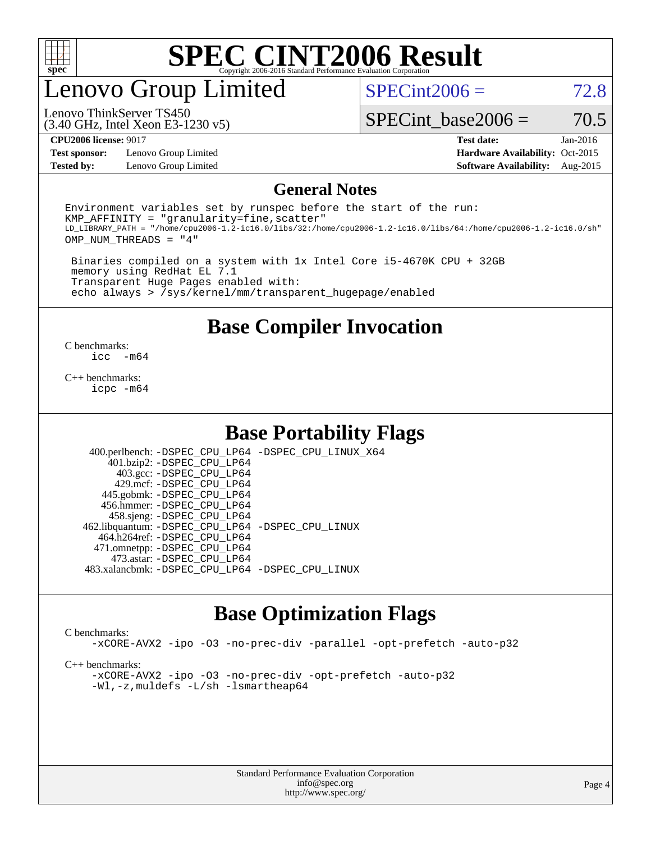

### enovo Group Limited

 $SPECint2006 = 72.8$  $SPECint2006 = 72.8$ 

(3.40 GHz, Intel Xeon E3-1230 v5) Lenovo ThinkServer TS450

SPECint base2006 =  $70.5$ 

**[Test sponsor:](http://www.spec.org/auto/cpu2006/Docs/result-fields.html#Testsponsor)** Lenovo Group Limited **[Hardware Availability:](http://www.spec.org/auto/cpu2006/Docs/result-fields.html#HardwareAvailability)** Oct-2015

**[CPU2006 license:](http://www.spec.org/auto/cpu2006/Docs/result-fields.html#CPU2006license)** 9017 **[Test date:](http://www.spec.org/auto/cpu2006/Docs/result-fields.html#Testdate)** Jan-2016 **[Tested by:](http://www.spec.org/auto/cpu2006/Docs/result-fields.html#Testedby)** Lenovo Group Limited **[Software Availability:](http://www.spec.org/auto/cpu2006/Docs/result-fields.html#SoftwareAvailability)** Aug-2015

#### **[General Notes](http://www.spec.org/auto/cpu2006/Docs/result-fields.html#GeneralNotes)**

Environment variables set by runspec before the start of the run:  $KMP$  AFFINITY = "granularity=fine, scatter" LD\_LIBRARY\_PATH = "/home/cpu2006-1.2-ic16.0/libs/32:/home/cpu2006-1.2-ic16.0/libs/64:/home/cpu2006-1.2-ic16.0/sh" OMP\_NUM\_THREADS = "4"

 Binaries compiled on a system with 1x Intel Core i5-4670K CPU + 32GB memory using RedHat EL 7.1 Transparent Huge Pages enabled with: echo always > /sys/kernel/mm/transparent\_hugepage/enabled

**[Base Compiler Invocation](http://www.spec.org/auto/cpu2006/Docs/result-fields.html#BaseCompilerInvocation)**

 $\frac{C \text{ benchmarks:}}{C \text{ C}}$ -m64

[C++ benchmarks:](http://www.spec.org/auto/cpu2006/Docs/result-fields.html#CXXbenchmarks) [icpc -m64](http://www.spec.org/cpu2006/results/res2016q1/cpu2006-20160125-38901.flags.html#user_CXXbase_intel_icpc_64bit_fc66a5337ce925472a5c54ad6a0de310)

### **[Base Portability Flags](http://www.spec.org/auto/cpu2006/Docs/result-fields.html#BasePortabilityFlags)**

 400.perlbench: [-DSPEC\\_CPU\\_LP64](http://www.spec.org/cpu2006/results/res2016q1/cpu2006-20160125-38901.flags.html#b400.perlbench_basePORTABILITY_DSPEC_CPU_LP64) [-DSPEC\\_CPU\\_LINUX\\_X64](http://www.spec.org/cpu2006/results/res2016q1/cpu2006-20160125-38901.flags.html#b400.perlbench_baseCPORTABILITY_DSPEC_CPU_LINUX_X64) 401.bzip2: [-DSPEC\\_CPU\\_LP64](http://www.spec.org/cpu2006/results/res2016q1/cpu2006-20160125-38901.flags.html#suite_basePORTABILITY401_bzip2_DSPEC_CPU_LP64) 403.gcc: [-DSPEC\\_CPU\\_LP64](http://www.spec.org/cpu2006/results/res2016q1/cpu2006-20160125-38901.flags.html#suite_basePORTABILITY403_gcc_DSPEC_CPU_LP64) 429.mcf: [-DSPEC\\_CPU\\_LP64](http://www.spec.org/cpu2006/results/res2016q1/cpu2006-20160125-38901.flags.html#suite_basePORTABILITY429_mcf_DSPEC_CPU_LP64) 445.gobmk: [-DSPEC\\_CPU\\_LP64](http://www.spec.org/cpu2006/results/res2016q1/cpu2006-20160125-38901.flags.html#suite_basePORTABILITY445_gobmk_DSPEC_CPU_LP64) 456.hmmer: [-DSPEC\\_CPU\\_LP64](http://www.spec.org/cpu2006/results/res2016q1/cpu2006-20160125-38901.flags.html#suite_basePORTABILITY456_hmmer_DSPEC_CPU_LP64) 458.sjeng: [-DSPEC\\_CPU\\_LP64](http://www.spec.org/cpu2006/results/res2016q1/cpu2006-20160125-38901.flags.html#suite_basePORTABILITY458_sjeng_DSPEC_CPU_LP64) 462.libquantum: [-DSPEC\\_CPU\\_LP64](http://www.spec.org/cpu2006/results/res2016q1/cpu2006-20160125-38901.flags.html#suite_basePORTABILITY462_libquantum_DSPEC_CPU_LP64) [-DSPEC\\_CPU\\_LINUX](http://www.spec.org/cpu2006/results/res2016q1/cpu2006-20160125-38901.flags.html#b462.libquantum_baseCPORTABILITY_DSPEC_CPU_LINUX) 464.h264ref: [-DSPEC\\_CPU\\_LP64](http://www.spec.org/cpu2006/results/res2016q1/cpu2006-20160125-38901.flags.html#suite_basePORTABILITY464_h264ref_DSPEC_CPU_LP64) 471.omnetpp: [-DSPEC\\_CPU\\_LP64](http://www.spec.org/cpu2006/results/res2016q1/cpu2006-20160125-38901.flags.html#suite_basePORTABILITY471_omnetpp_DSPEC_CPU_LP64) 473.astar: [-DSPEC\\_CPU\\_LP64](http://www.spec.org/cpu2006/results/res2016q1/cpu2006-20160125-38901.flags.html#suite_basePORTABILITY473_astar_DSPEC_CPU_LP64) 483.xalancbmk: [-DSPEC\\_CPU\\_LP64](http://www.spec.org/cpu2006/results/res2016q1/cpu2006-20160125-38901.flags.html#suite_basePORTABILITY483_xalancbmk_DSPEC_CPU_LP64) [-DSPEC\\_CPU\\_LINUX](http://www.spec.org/cpu2006/results/res2016q1/cpu2006-20160125-38901.flags.html#b483.xalancbmk_baseCXXPORTABILITY_DSPEC_CPU_LINUX)

### **[Base Optimization Flags](http://www.spec.org/auto/cpu2006/Docs/result-fields.html#BaseOptimizationFlags)**

#### [C benchmarks](http://www.spec.org/auto/cpu2006/Docs/result-fields.html#Cbenchmarks):

[-xCORE-AVX2](http://www.spec.org/cpu2006/results/res2016q1/cpu2006-20160125-38901.flags.html#user_CCbase_f-xAVX2_5f5fc0cbe2c9f62c816d3e45806c70d7) [-ipo](http://www.spec.org/cpu2006/results/res2016q1/cpu2006-20160125-38901.flags.html#user_CCbase_f-ipo) [-O3](http://www.spec.org/cpu2006/results/res2016q1/cpu2006-20160125-38901.flags.html#user_CCbase_f-O3) [-no-prec-div](http://www.spec.org/cpu2006/results/res2016q1/cpu2006-20160125-38901.flags.html#user_CCbase_f-no-prec-div) [-parallel](http://www.spec.org/cpu2006/results/res2016q1/cpu2006-20160125-38901.flags.html#user_CCbase_f-parallel) [-opt-prefetch](http://www.spec.org/cpu2006/results/res2016q1/cpu2006-20160125-38901.flags.html#user_CCbase_f-opt-prefetch) [-auto-p32](http://www.spec.org/cpu2006/results/res2016q1/cpu2006-20160125-38901.flags.html#user_CCbase_f-auto-p32)

[C++ benchmarks:](http://www.spec.org/auto/cpu2006/Docs/result-fields.html#CXXbenchmarks)

[-xCORE-AVX2](http://www.spec.org/cpu2006/results/res2016q1/cpu2006-20160125-38901.flags.html#user_CXXbase_f-xAVX2_5f5fc0cbe2c9f62c816d3e45806c70d7) [-ipo](http://www.spec.org/cpu2006/results/res2016q1/cpu2006-20160125-38901.flags.html#user_CXXbase_f-ipo) [-O3](http://www.spec.org/cpu2006/results/res2016q1/cpu2006-20160125-38901.flags.html#user_CXXbase_f-O3) [-no-prec-div](http://www.spec.org/cpu2006/results/res2016q1/cpu2006-20160125-38901.flags.html#user_CXXbase_f-no-prec-div) [-opt-prefetch](http://www.spec.org/cpu2006/results/res2016q1/cpu2006-20160125-38901.flags.html#user_CXXbase_f-opt-prefetch) [-auto-p32](http://www.spec.org/cpu2006/results/res2016q1/cpu2006-20160125-38901.flags.html#user_CXXbase_f-auto-p32) [-Wl,-z,muldefs](http://www.spec.org/cpu2006/results/res2016q1/cpu2006-20160125-38901.flags.html#user_CXXbase_link_force_multiple1_74079c344b956b9658436fd1b6dd3a8a) [-L/sh -lsmartheap64](http://www.spec.org/cpu2006/results/res2016q1/cpu2006-20160125-38901.flags.html#user_CXXbase_SmartHeap64_ed4ef857ce90951921efb0d91eb88472)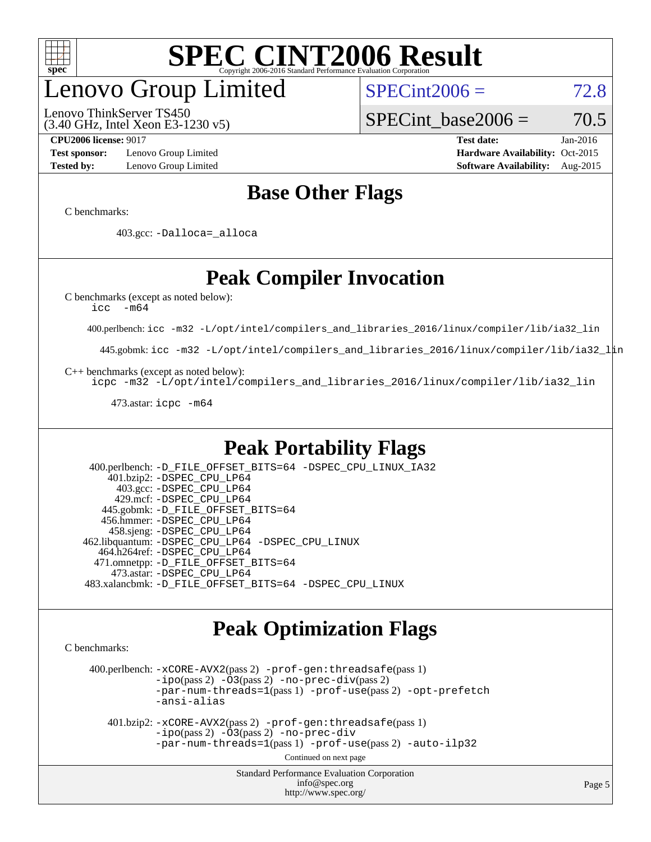

## enovo Group Limited

(3.40 GHz, Intel Xeon E3-1230 v5) Lenovo ThinkServer TS450

 $SPECint2006 = 72.8$  $SPECint2006 = 72.8$ 

SPECint base2006 =  $70.5$ 

**[Test sponsor:](http://www.spec.org/auto/cpu2006/Docs/result-fields.html#Testsponsor)** Lenovo Group Limited **[Hardware Availability:](http://www.spec.org/auto/cpu2006/Docs/result-fields.html#HardwareAvailability)** Oct-2015

**[CPU2006 license:](http://www.spec.org/auto/cpu2006/Docs/result-fields.html#CPU2006license)** 9017 **[Test date:](http://www.spec.org/auto/cpu2006/Docs/result-fields.html#Testdate)** Jan-2016 **[Tested by:](http://www.spec.org/auto/cpu2006/Docs/result-fields.html#Testedby)** Lenovo Group Limited **[Software Availability:](http://www.spec.org/auto/cpu2006/Docs/result-fields.html#SoftwareAvailability)** Aug-2015

### **[Base Other Flags](http://www.spec.org/auto/cpu2006/Docs/result-fields.html#BaseOtherFlags)**

[C benchmarks](http://www.spec.org/auto/cpu2006/Docs/result-fields.html#Cbenchmarks):

403.gcc: [-Dalloca=\\_alloca](http://www.spec.org/cpu2006/results/res2016q1/cpu2006-20160125-38901.flags.html#b403.gcc_baseEXTRA_CFLAGS_Dalloca_be3056838c12de2578596ca5467af7f3)

### **[Peak Compiler Invocation](http://www.spec.org/auto/cpu2006/Docs/result-fields.html#PeakCompilerInvocation)**

[C benchmarks \(except as noted below\)](http://www.spec.org/auto/cpu2006/Docs/result-fields.html#Cbenchmarksexceptasnotedbelow):

[icc -m64](http://www.spec.org/cpu2006/results/res2016q1/cpu2006-20160125-38901.flags.html#user_CCpeak_intel_icc_64bit_f346026e86af2a669e726fe758c88044)

400.perlbench: [icc -m32 -L/opt/intel/compilers\\_and\\_libraries\\_2016/linux/compiler/lib/ia32\\_lin](http://www.spec.org/cpu2006/results/res2016q1/cpu2006-20160125-38901.flags.html#user_peakCCLD400_perlbench_intel_icc_e10256ba5924b668798078a321b0cb3f)

445.gobmk: [icc -m32 -L/opt/intel/compilers\\_and\\_libraries\\_2016/linux/compiler/lib/ia32\\_lin](http://www.spec.org/cpu2006/results/res2016q1/cpu2006-20160125-38901.flags.html#user_peakCCLD445_gobmk_intel_icc_e10256ba5924b668798078a321b0cb3f)

[C++ benchmarks \(except as noted below\):](http://www.spec.org/auto/cpu2006/Docs/result-fields.html#CXXbenchmarksexceptasnotedbelow)

[icpc -m32 -L/opt/intel/compilers\\_and\\_libraries\\_2016/linux/compiler/lib/ia32\\_lin](http://www.spec.org/cpu2006/results/res2016q1/cpu2006-20160125-38901.flags.html#user_CXXpeak_intel_icpc_b4f50a394bdb4597aa5879c16bc3f5c5)

473.astar: [icpc -m64](http://www.spec.org/cpu2006/results/res2016q1/cpu2006-20160125-38901.flags.html#user_peakCXXLD473_astar_intel_icpc_64bit_fc66a5337ce925472a5c54ad6a0de310)

### **[Peak Portability Flags](http://www.spec.org/auto/cpu2006/Docs/result-fields.html#PeakPortabilityFlags)**

 400.perlbench: [-D\\_FILE\\_OFFSET\\_BITS=64](http://www.spec.org/cpu2006/results/res2016q1/cpu2006-20160125-38901.flags.html#user_peakPORTABILITY400_perlbench_file_offset_bits_64_438cf9856305ebd76870a2c6dc2689ab) [-DSPEC\\_CPU\\_LINUX\\_IA32](http://www.spec.org/cpu2006/results/res2016q1/cpu2006-20160125-38901.flags.html#b400.perlbench_peakCPORTABILITY_DSPEC_CPU_LINUX_IA32) 401.bzip2: [-DSPEC\\_CPU\\_LP64](http://www.spec.org/cpu2006/results/res2016q1/cpu2006-20160125-38901.flags.html#suite_peakPORTABILITY401_bzip2_DSPEC_CPU_LP64) 403.gcc: [-DSPEC\\_CPU\\_LP64](http://www.spec.org/cpu2006/results/res2016q1/cpu2006-20160125-38901.flags.html#suite_peakPORTABILITY403_gcc_DSPEC_CPU_LP64) 429.mcf: [-DSPEC\\_CPU\\_LP64](http://www.spec.org/cpu2006/results/res2016q1/cpu2006-20160125-38901.flags.html#suite_peakPORTABILITY429_mcf_DSPEC_CPU_LP64) 445.gobmk: [-D\\_FILE\\_OFFSET\\_BITS=64](http://www.spec.org/cpu2006/results/res2016q1/cpu2006-20160125-38901.flags.html#user_peakPORTABILITY445_gobmk_file_offset_bits_64_438cf9856305ebd76870a2c6dc2689ab) 456.hmmer: [-DSPEC\\_CPU\\_LP64](http://www.spec.org/cpu2006/results/res2016q1/cpu2006-20160125-38901.flags.html#suite_peakPORTABILITY456_hmmer_DSPEC_CPU_LP64) 458.sjeng: [-DSPEC\\_CPU\\_LP64](http://www.spec.org/cpu2006/results/res2016q1/cpu2006-20160125-38901.flags.html#suite_peakPORTABILITY458_sjeng_DSPEC_CPU_LP64) 462.libquantum: [-DSPEC\\_CPU\\_LP64](http://www.spec.org/cpu2006/results/res2016q1/cpu2006-20160125-38901.flags.html#suite_peakPORTABILITY462_libquantum_DSPEC_CPU_LP64) [-DSPEC\\_CPU\\_LINUX](http://www.spec.org/cpu2006/results/res2016q1/cpu2006-20160125-38901.flags.html#b462.libquantum_peakCPORTABILITY_DSPEC_CPU_LINUX) 464.h264ref: [-DSPEC\\_CPU\\_LP64](http://www.spec.org/cpu2006/results/res2016q1/cpu2006-20160125-38901.flags.html#suite_peakPORTABILITY464_h264ref_DSPEC_CPU_LP64) 471.omnetpp: [-D\\_FILE\\_OFFSET\\_BITS=64](http://www.spec.org/cpu2006/results/res2016q1/cpu2006-20160125-38901.flags.html#user_peakPORTABILITY471_omnetpp_file_offset_bits_64_438cf9856305ebd76870a2c6dc2689ab) 473.astar: [-DSPEC\\_CPU\\_LP64](http://www.spec.org/cpu2006/results/res2016q1/cpu2006-20160125-38901.flags.html#suite_peakPORTABILITY473_astar_DSPEC_CPU_LP64) 483.xalancbmk: [-D\\_FILE\\_OFFSET\\_BITS=64](http://www.spec.org/cpu2006/results/res2016q1/cpu2006-20160125-38901.flags.html#user_peakPORTABILITY483_xalancbmk_file_offset_bits_64_438cf9856305ebd76870a2c6dc2689ab) [-DSPEC\\_CPU\\_LINUX](http://www.spec.org/cpu2006/results/res2016q1/cpu2006-20160125-38901.flags.html#b483.xalancbmk_peakCXXPORTABILITY_DSPEC_CPU_LINUX)

### **[Peak Optimization Flags](http://www.spec.org/auto/cpu2006/Docs/result-fields.html#PeakOptimizationFlags)**

[C benchmarks](http://www.spec.org/auto/cpu2006/Docs/result-fields.html#Cbenchmarks):

 400.perlbench: [-xCORE-AVX2](http://www.spec.org/cpu2006/results/res2016q1/cpu2006-20160125-38901.flags.html#user_peakPASS2_CFLAGSPASS2_LDCFLAGS400_perlbench_f-xAVX2_5f5fc0cbe2c9f62c816d3e45806c70d7)(pass 2) [-prof-gen:threadsafe](http://www.spec.org/cpu2006/results/res2016q1/cpu2006-20160125-38901.flags.html#user_peakPASS1_CFLAGSPASS1_LDCFLAGS400_perlbench_prof_gen_21a26eb79f378b550acd7bec9fe4467a)(pass 1)  $-i\text{po}(pass 2) -\tilde{O}3(pass 2)$  [-no-prec-div](http://www.spec.org/cpu2006/results/res2016q1/cpu2006-20160125-38901.flags.html#user_peakPASS2_CFLAGSPASS2_LDCFLAGS400_perlbench_f-no-prec-div)(pass 2) [-par-num-threads=1](http://www.spec.org/cpu2006/results/res2016q1/cpu2006-20160125-38901.flags.html#user_peakPASS1_CFLAGSPASS1_LDCFLAGS400_perlbench_par_num_threads_786a6ff141b4e9e90432e998842df6c2)(pass 1) [-prof-use](http://www.spec.org/cpu2006/results/res2016q1/cpu2006-20160125-38901.flags.html#user_peakPASS2_CFLAGSPASS2_LDCFLAGS400_perlbench_prof_use_bccf7792157ff70d64e32fe3e1250b55)(pass 2) [-opt-prefetch](http://www.spec.org/cpu2006/results/res2016q1/cpu2006-20160125-38901.flags.html#user_peakCOPTIMIZE400_perlbench_f-opt-prefetch) [-ansi-alias](http://www.spec.org/cpu2006/results/res2016q1/cpu2006-20160125-38901.flags.html#user_peakCOPTIMIZE400_perlbench_f-ansi-alias)

 401.bzip2: [-xCORE-AVX2](http://www.spec.org/cpu2006/results/res2016q1/cpu2006-20160125-38901.flags.html#user_peakPASS2_CFLAGSPASS2_LDCFLAGS401_bzip2_f-xAVX2_5f5fc0cbe2c9f62c816d3e45806c70d7)(pass 2) [-prof-gen:threadsafe](http://www.spec.org/cpu2006/results/res2016q1/cpu2006-20160125-38901.flags.html#user_peakPASS1_CFLAGSPASS1_LDCFLAGS401_bzip2_prof_gen_21a26eb79f378b550acd7bec9fe4467a)(pass 1)  $-i\text{po}(pass 2) -\overline{O}3(pass 2)$  [-no-prec-div](http://www.spec.org/cpu2006/results/res2016q1/cpu2006-20160125-38901.flags.html#user_peakCOPTIMIZEPASS2_CFLAGSPASS2_LDCFLAGS401_bzip2_f-no-prec-div) [-par-num-threads=1](http://www.spec.org/cpu2006/results/res2016q1/cpu2006-20160125-38901.flags.html#user_peakPASS1_CFLAGSPASS1_LDCFLAGS401_bzip2_par_num_threads_786a6ff141b4e9e90432e998842df6c2)(pass 1) [-prof-use](http://www.spec.org/cpu2006/results/res2016q1/cpu2006-20160125-38901.flags.html#user_peakPASS2_CFLAGSPASS2_LDCFLAGS401_bzip2_prof_use_bccf7792157ff70d64e32fe3e1250b55)(pass 2) [-auto-ilp32](http://www.spec.org/cpu2006/results/res2016q1/cpu2006-20160125-38901.flags.html#user_peakCOPTIMIZE401_bzip2_f-auto-ilp32)

Continued on next page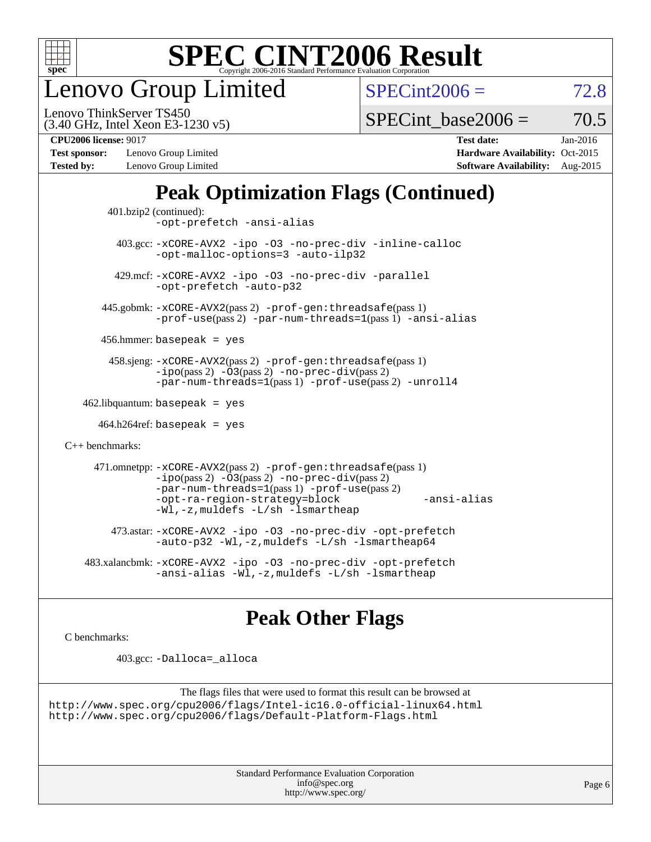

enovo Group Limited

 $SPECint2006 = 72.8$  $SPECint2006 = 72.8$ 

(3.40 GHz, Intel Xeon E3-1230 v5) Lenovo ThinkServer TS450

SPECint base2006 =  $70.5$ 

**[Test sponsor:](http://www.spec.org/auto/cpu2006/Docs/result-fields.html#Testsponsor)** Lenovo Group Limited **[Hardware Availability:](http://www.spec.org/auto/cpu2006/Docs/result-fields.html#HardwareAvailability)** Oct-2015 **[Tested by:](http://www.spec.org/auto/cpu2006/Docs/result-fields.html#Testedby)** Lenovo Group Limited **[Software Availability:](http://www.spec.org/auto/cpu2006/Docs/result-fields.html#SoftwareAvailability)** Aug-2015

**[CPU2006 license:](http://www.spec.org/auto/cpu2006/Docs/result-fields.html#CPU2006license)** 9017 **[Test date:](http://www.spec.org/auto/cpu2006/Docs/result-fields.html#Testdate)** Jan-2016

### **[Peak Optimization Flags \(Continued\)](http://www.spec.org/auto/cpu2006/Docs/result-fields.html#PeakOptimizationFlags)**

```
 401.bzip2 (continued):
                -opt-prefetch -ansi-alias
          403.gcc: -xCORE-AVX2 -ipo -O3 -no-prec-div -inline-calloc
                -opt-malloc-options=3 -auto-ilp32
         429.mcf: -xCORE-AVX2 -ipo -O3 -no-prec-div -parallel
                -opt-prefetch -auto-p32
       445.gobmk: -xCORE-AVX2(pass 2) -prof-gen:threadsafe(pass 1)
                -prof-use(pass 2) -par-num-threads=1(pass 1) -ansi-alias
       456.hmmer: basepeak = yes
        458.sjeng: -xCORE-AVX2(pass 2) -prof-gen:threadsafe(pass 1)
                -i\text{po}(pass 2) -\tilde{O}3(pass 2)-no-prec-div(pass 2)
                -par-num-threads=1(pass 1) -prof-use(pass 2) -unroll4
   462.libquantum: basepeak = yes
     464.h264ref: basepeak = yes
C++ benchmarks: 
      471.omnetpp: -xCORE-AVX2(pass 2) -prof-gen:threadsafe(pass 1)
                -i\text{po}(pass 2) -\overline{O}3(pass 2) -no-\overline{prec}\-div(pass 2)-par-num-threads=1(pass 1) -prof-use(pass 2)
                -opt-ra-region-strategy=block -ansi-alias
                -Wl,-z,muldefs -L/sh -lsmartheap
         473.astar: -xCORE-AVX2 -ipo -O3 -no-prec-div -opt-prefetch
                -auto-p32 -Wl,-z,muldefs -L/sh -lsmartheap64
    483.xalancbmk: -xCORE-AVX2 -ipo -O3 -no-prec-div -opt-prefetch
                -ansi-alias -Wl,-z,muldefs -L/sh -lsmartheap
```
### **[Peak Other Flags](http://www.spec.org/auto/cpu2006/Docs/result-fields.html#PeakOtherFlags)**

[C benchmarks](http://www.spec.org/auto/cpu2006/Docs/result-fields.html#Cbenchmarks):

403.gcc: [-Dalloca=\\_alloca](http://www.spec.org/cpu2006/results/res2016q1/cpu2006-20160125-38901.flags.html#b403.gcc_peakEXTRA_CFLAGS_Dalloca_be3056838c12de2578596ca5467af7f3)

```
The flags files that were used to format this result can be browsed at
http://www.spec.org/cpu2006/flags/Intel-ic16.0-official-linux64.html
http://www.spec.org/cpu2006/flags/Default-Platform-Flags.html
```